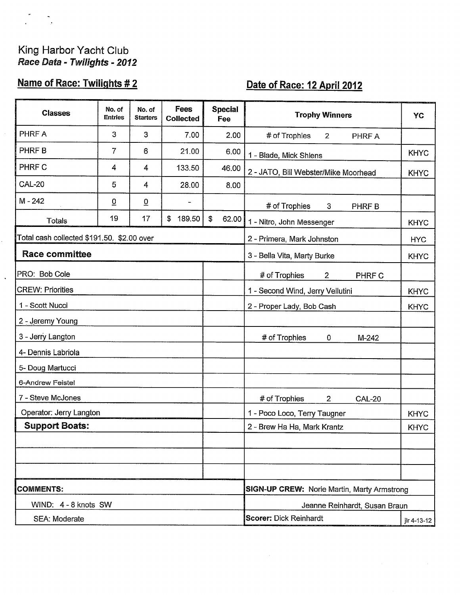# King Harbor Yacht Club<br>Race Data - Twilights - 2012

 $\frac{1}{\sqrt{2}}$ 

 $\ddot{\phantom{a}}$ 

## Name of Race: Twilights #2

# Date of Race: 12 April 2012

| <b>Classes</b>                             | No. of<br><b>Entries</b>                           | No. of<br><b>Starters</b> | <b>Fees</b><br><b>Collected</b> | <b>Special</b><br>Fee | <b>Trophy Winners</b>                            | YC          |
|--------------------------------------------|----------------------------------------------------|---------------------------|---------------------------------|-----------------------|--------------------------------------------------|-------------|
| PHRF A                                     | 3                                                  | 3                         | 7.00                            | 2.00                  | # of Trophies<br>$\overline{2}$<br>PHRF A        |             |
| PHRF B                                     | 7                                                  | 6                         | 21.00                           | 6.00                  | 1 - Blade, Mick Shlens                           | <b>KHYC</b> |
| PHRF C                                     | 4                                                  | 4                         | 133.50                          | 46.00                 | 2 - JATO, Bill Webster/Mike Moorhead             | <b>KHYC</b> |
| <b>CAL-20</b>                              | 5                                                  | 4                         | 28.00                           | 8.00                  |                                                  |             |
| M-242                                      | $\overline{0}$                                     | $\overline{0}$            | $\qquad \qquad$                 |                       | # of Trophies<br>3<br>PHRF B                     |             |
| <b>Totals</b>                              | 19                                                 | 17                        | 189.50<br>\$                    | \$<br>62.00           | 1 - Nitro, John Messenger                        | <b>KHYC</b> |
| Total cash collected \$191.50. \$2.00 over |                                                    |                           |                                 |                       | 2 - Primera, Mark Johnston                       | <b>HYC</b>  |
| <b>Race committee</b>                      |                                                    |                           |                                 |                       | 3 - Bella Vita, Marty Burke                      | <b>KHYC</b> |
| PRO: Bob Cole                              |                                                    |                           |                                 |                       | # of Trophies<br>$\overline{2}$<br>PHRF C        |             |
| <b>CREW: Priorities</b>                    |                                                    |                           |                                 |                       | 1 - Second Wind, Jerry Vellutini                 | <b>KHYC</b> |
| 1 - Scott Nucci                            |                                                    |                           |                                 |                       | 2 - Proper Lady, Bob Cash                        | <b>KHYC</b> |
| 2 - Jeremy Young                           |                                                    |                           |                                 |                       |                                                  |             |
| 3 - Jerry Langton                          |                                                    |                           |                                 |                       | # of Trophies<br>$\mathbf 0$<br>$M-242$          |             |
| 4- Dennis Labriola                         |                                                    |                           |                                 |                       |                                                  |             |
| 5- Doug Martucci                           |                                                    |                           |                                 |                       |                                                  |             |
| 6-Andrew Feistel                           |                                                    |                           |                                 |                       |                                                  |             |
| 7 - Steve McJones                          |                                                    |                           |                                 |                       | # of Trophies<br>$\overline{2}$<br><b>CAL-20</b> |             |
| Operator: Jerry Langton                    |                                                    |                           |                                 |                       | 1 - Poco Loco, Terry Taugner                     | <b>KHYC</b> |
| <b>Support Boats:</b>                      |                                                    |                           |                                 |                       | 2 - Brew Ha Ha, Mark Krantz                      | <b>KHYC</b> |
|                                            |                                                    |                           |                                 |                       |                                                  |             |
|                                            |                                                    |                           |                                 |                       |                                                  |             |
|                                            |                                                    |                           |                                 |                       |                                                  |             |
| <b>COMMENTS:</b>                           | <b>SIGN-UP CREW: Norie Martin, Marty Armstrong</b> |                           |                                 |                       |                                                  |             |
| WIND: 4 - 8 knots SW                       |                                                    |                           |                                 |                       | Jeanne Reinhardt, Susan Braun                    |             |
| SEA: Moderate                              |                                                    |                           |                                 |                       | <b>Scorer: Dick Reinhardt</b>                    | jlr 4-13-12 |